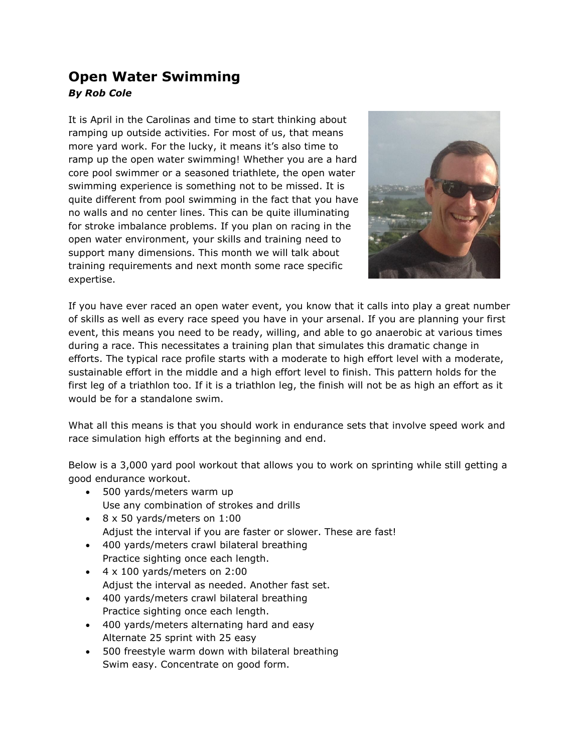## **Open Water Swimming** *By Rob Cole*

It is April in the Carolinas and time to start thinking about ramping up outside activities. For most of us, that means more yard work. For the lucky, it means it's also time to ramp up the open water swimming! Whether you are a hard core pool swimmer or a seasoned triathlete, the open water swimming experience is something not to be missed. It is quite different from pool swimming in the fact that you have no walls and no center lines. This can be quite illuminating for stroke imbalance problems. If you plan on racing in the open water environment, your skills and training need to support many dimensions. This month we will talk about training requirements and next month some race specific expertise.



If you have ever raced an open water event, you know that it calls into play a great number of skills as well as every race speed you have in your arsenal. If you are planning your first event, this means you need to be ready, willing, and able to go anaerobic at various times during a race. This necessitates a training plan that simulates this dramatic change in efforts. The typical race profile starts with a moderate to high effort level with a moderate, sustainable effort in the middle and a high effort level to finish. This pattern holds for the first leg of a triathlon too. If it is a triathlon leg, the finish will not be as high an effort as it would be for a standalone swim.

What all this means is that you should work in endurance sets that involve speed work and race simulation high efforts at the beginning and end.

Below is a 3,000 yard pool workout that allows you to work on sprinting while still getting a good endurance workout.

- 500 yards/meters warm up Use any combination of strokes and drills
- 8 x 50 yards/meters on 1:00 Adjust the interval if you are faster or slower. These are fast!
- 400 yards/meters crawl bilateral breathing
- Practice sighting once each length.  $\bullet$  4 x 100 yards/meters on 2:00
- Adjust the interval as needed. Another fast set.
- 400 yards/meters crawl bilateral breathing Practice sighting once each length.
- 400 yards/meters alternating hard and easy Alternate 25 sprint with 25 easy
- 500 freestyle warm down with bilateral breathing Swim easy. Concentrate on good form.